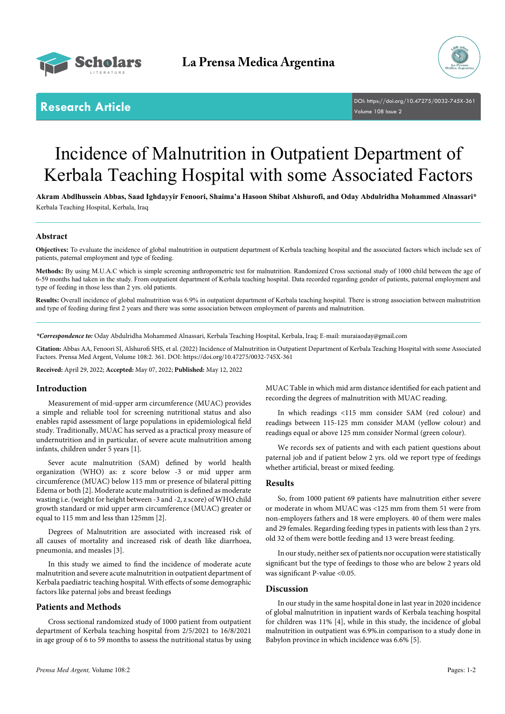



**Research Article** DOI: [https://doi.org/10.47275/0032-745X-3](https://doi.org/10.47275/0032-745X-361)61 Volume 108 Issue 2

# Incidence of Malnutrition in Outpatient Department of Kerbala Teaching Hospital with some Associated Factors

**Akram Abdlhussein Abbas, Saad Ighdayyir Fenoori, Shaima'a Hasoon Shibat Alshurofi, and Oday Abdulridha Mohammed Alnassari\*** Kerbala Teaching Hospital, Kerbala, Iraq

## **Abstract**

**Objectives:** To evaluate the incidence of global malnutrition in outpatient department of Kerbala teaching hospital and the associated factors which include sex of patients, paternal employment and type of feeding.

**Methods:** By using M.U.A.C which is simple screening anthropometric test for malnutrition. Randomized Cross sectional study of 1000 child between the age of 6-59 months had taken in the study. From outpatient department of Kerbala teaching hospital. Data recorded regarding gender of patients, paternal employment and type of feeding in those less than 2 yrs. old patients.

**Results:** Overall incidence of global malnutrition was 6.9% in outpatient department of Kerbala teaching hospital. There is strong association between malnutrition and type of feeding during first 2 years and there was some association between employment of parents and malnutrition.

*\*Correspondence to:* Oday Abdulridha Mohammed Alnassari, Kerbala Teaching Hospital, Kerbala, Iraq; E-mail: muraiaoday@gmail.com

**Citation:** Abbas AA, Fenoori SI, Alshurofi SHS, et al. (2022) Incidence of Malnutrition in Outpatient Department of Kerbala Teaching Hospital with some Associated Factors. Prensa Med Argent, Volume 108:2. 361. DOI: [https://doi.org/10.47275/0032-745X-3](https://doi.org/10.47275/0032-745X-361)61

**Received:** April 29, 2022; **Accepted:** May 07, 2022; **Published:** May 12, 2022

### **Introduction**

Measurement of mid-upper arm circumference (MUAC) provides a simple and reliable tool for screening nutritional status and also enables rapid assessment of large populations in epidemiological field study. Traditionally, MUAC has served as a practical proxy measure of undernutrition and in particular, of severe acute malnutrition among infants, children under 5 years [1].

Sever acute malnutrition (SAM) defined by world health organization (WHO) as: z score below -3 or mid upper arm circumference (MUAC) below 115 mm or presence of bilateral pitting Edema or both [2]. Moderate acute malnutrition is defined as moderate wasting i.e. (weight for height between -3 and -2, z score) of WHO child growth standard or mid upper arm circumference (MUAC) greater or equal to 115 mm and less than 125mm [2].

Degrees of Malnutrition are associated with increased risk of all causes of mortality and increased risk of death like diarrhoea, pneumonia, and measles [3].

In this study we aimed to find the incidence of moderate acute malnutrition and severe acute malnutrition in outpatient department of Kerbala paediatric teaching hospital. With effects of some demographic factors like paternal jobs and breast feedings

#### **Patients and Methods**

Cross sectional randomized study of 1000 patient from outpatient department of Kerbala teaching hospital from 2/5/2021 to 16/8/2021 in age group of 6 to 59 months to assess the nutritional status by using MUAC Table in which mid arm distance identified for each patient and recording the degrees of malnutrition with MUAC reading.

In which readings <115 mm consider SAM (red colour) and readings between 115-125 mm consider MAM (yellow colour) and readings equal or above 125 mm consider Normal (green colour).

We records sex of patients and with each patient questions about paternal job and if patient below 2 yrs. old we report type of feedings whether artificial, breast or mixed feeding.

#### **Results**

So, from 1000 patient 69 patients have malnutrition either severe or moderate in whom MUAC was <125 mm from them 51 were from non-employers fathers and 18 were employers. 40 of them were males and 29 females. Regarding feeding types in patients with less than 2 yrs. old 32 of them were bottle feeding and 13 were breast feeding.

In our study, neither sex of patients nor occupation were statistically significant but the type of feedings to those who are below 2 years old was significant P-value <0.05.

#### **Discussion**

In our study in the same hospital done in last year in 2020 incidence of global malnutrition in inpatient wards of Kerbala teaching hospital for children was 11% [4], while in this study, the incidence of global malnutrition in outpatient was 6.9%.in comparison to a study done in Babylon province in which incidence was 6.6% [5].